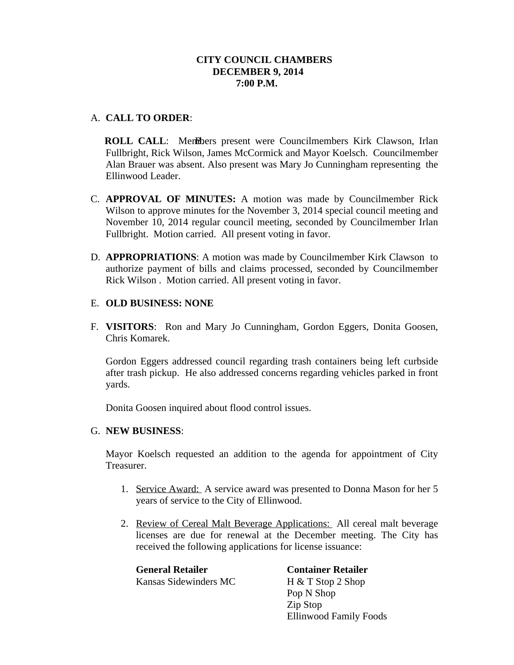### A. **CALL TO ORDER**:

**ROLL CALL:** Members present were Councilmembers Kirk Clawson, Irlan Fullbright, Rick Wilson, James McCormick and Mayor Koelsch. Councilmember Alan Brauer was absent. Also present was Mary Jo Cunningham representing the Ellinwood Leader.

- C. **APPROVAL OF MINUTES:** A motion was made by Councilmember Rick Wilson to approve minutes for the November 3, 2014 special council meeting and November 10, 2014 regular council meeting, seconded by Councilmember Irlan Fullbright. Motion carried. All present voting in favor.
- D. **APPROPRIATIONS**: A motion was made by Councilmember Kirk Clawson to authorize payment of bills and claims processed, seconded by Councilmember Rick Wilson . Motion carried. All present voting in favor.

#### E. **OLD BUSINESS: NONE**

F. **VISITORS**: Ron and Mary Jo Cunningham, Gordon Eggers, Donita Goosen, Chris Komarek.

Gordon Eggers addressed council regarding trash containers being left curbside after trash pickup. He also addressed concerns regarding vehicles parked in front yards.

Donita Goosen inquired about flood control issues.

### G. **NEW BUSINESS**:

Mayor Koelsch requested an addition to the agenda for appointment of City Treasurer.

- 1. Service Award: A service award was presented to Donna Mason for her 5 years of service to the City of Ellinwood.
- 2. Review of Cereal Malt Beverage Applications: All cereal malt beverage licenses are due for renewal at the December meeting. The City has received the following applications for license issuance:

Kansas Sidewinders MC H & T Stop 2 Shop

**General Retailer Container Retailer** Pop N Shop Zip Stop Ellinwood Family Foods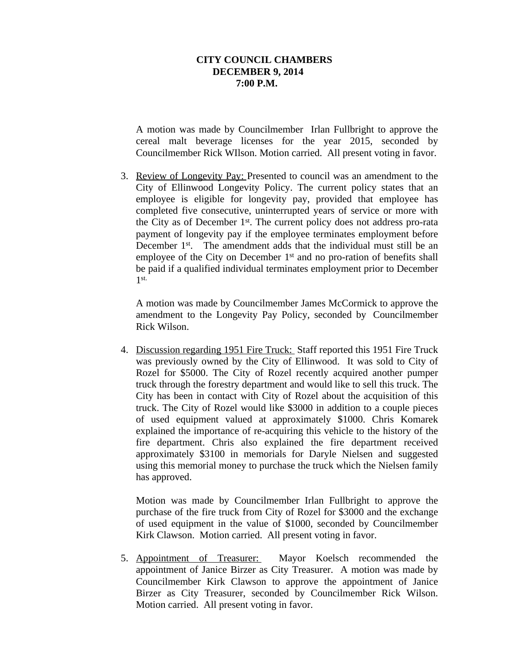A motion was made by Councilmember Irlan Fullbright to approve the cereal malt beverage licenses for the year 2015, seconded by Councilmember Rick WIlson. Motion carried. All present voting in favor.

3. Review of Longevity Pay: Presented to council was an amendment to the City of Ellinwood Longevity Policy. The current policy states that an employee is eligible for longevity pay, provided that employee has completed five consecutive, uninterrupted years of service or more with the City as of December 1<sup>st</sup>. The current policy does not address pro-rata payment of longevity pay if the employee terminates employment before December 1<sup>st</sup>. The amendment adds that the individual must still be an employee of the City on December 1<sup>st</sup> and no pro-ration of benefits shall be paid if a qualified individual terminates employment prior to December 1 st.

A motion was made by Councilmember James McCormick to approve the amendment to the Longevity Pay Policy, seconded by Councilmember Rick Wilson.

4. Discussion regarding 1951 Fire Truck: Staff reported this 1951 Fire Truck was previously owned by the City of Ellinwood. It was sold to City of Rozel for \$5000. The City of Rozel recently acquired another pumper truck through the forestry department and would like to sell this truck. The City has been in contact with City of Rozel about the acquisition of this truck. The City of Rozel would like \$3000 in addition to a couple pieces of used equipment valued at approximately \$1000. Chris Komarek explained the importance of re-acquiring this vehicle to the history of the fire department. Chris also explained the fire department received approximately \$3100 in memorials for Daryle Nielsen and suggested using this memorial money to purchase the truck which the Nielsen family has approved.

Motion was made by Councilmember Irlan Fullbright to approve the purchase of the fire truck from City of Rozel for \$3000 and the exchange of used equipment in the value of \$1000, seconded by Councilmember Kirk Clawson. Motion carried. All present voting in favor.

5. Appointment of Treasurer: Mayor Koelsch recommended the appointment of Janice Birzer as City Treasurer. A motion was made by Councilmember Kirk Clawson to approve the appointment of Janice Birzer as City Treasurer, seconded by Councilmember Rick Wilson. Motion carried. All present voting in favor.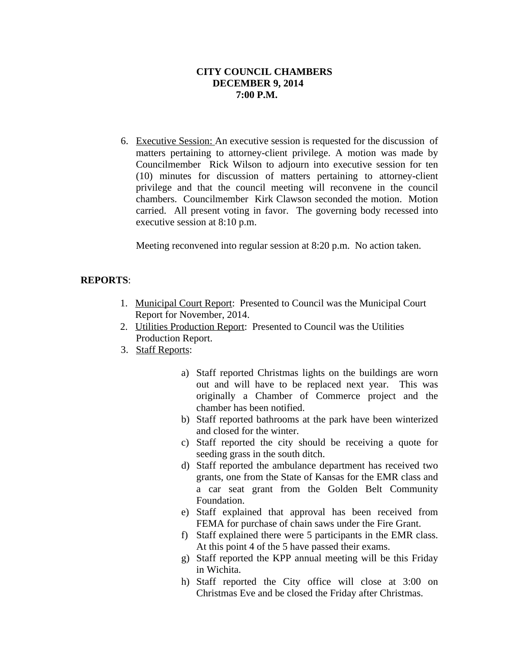6. Executive Session: An executive session is requested for the discussion of matters pertaining to attorney-client privilege. A motion was made by Councilmember Rick Wilson to adjourn into executive session for ten (10) minutes for discussion of matters pertaining to attorney-client privilege and that the council meeting will reconvene in the council chambers. Councilmember Kirk Clawson seconded the motion. Motion carried. All present voting in favor. The governing body recessed into executive session at 8:10 p.m.

Meeting reconvened into regular session at 8:20 p.m. No action taken.

# **REPORTS**:

- 1. Municipal Court Report: Presented to Council was the Municipal Court Report for November, 2014.
- 2. Utilities Production Report: Presented to Council was the Utilities Production Report.
- 3. Staff Reports:
	- a) Staff reported Christmas lights on the buildings are worn out and will have to be replaced next year. This was originally a Chamber of Commerce project and the chamber has been notified.
	- b) Staff reported bathrooms at the park have been winterized and closed for the winter.
	- c) Staff reported the city should be receiving a quote for seeding grass in the south ditch.
	- d) Staff reported the ambulance department has received two grants, one from the State of Kansas for the EMR class and a car seat grant from the Golden Belt Community Foundation.
	- e) Staff explained that approval has been received from FEMA for purchase of chain saws under the Fire Grant.
	- f) Staff explained there were 5 participants in the EMR class. At this point 4 of the 5 have passed their exams.
	- g) Staff reported the KPP annual meeting will be this Friday in Wichita.
	- h) Staff reported the City office will close at 3:00 on Christmas Eve and be closed the Friday after Christmas.